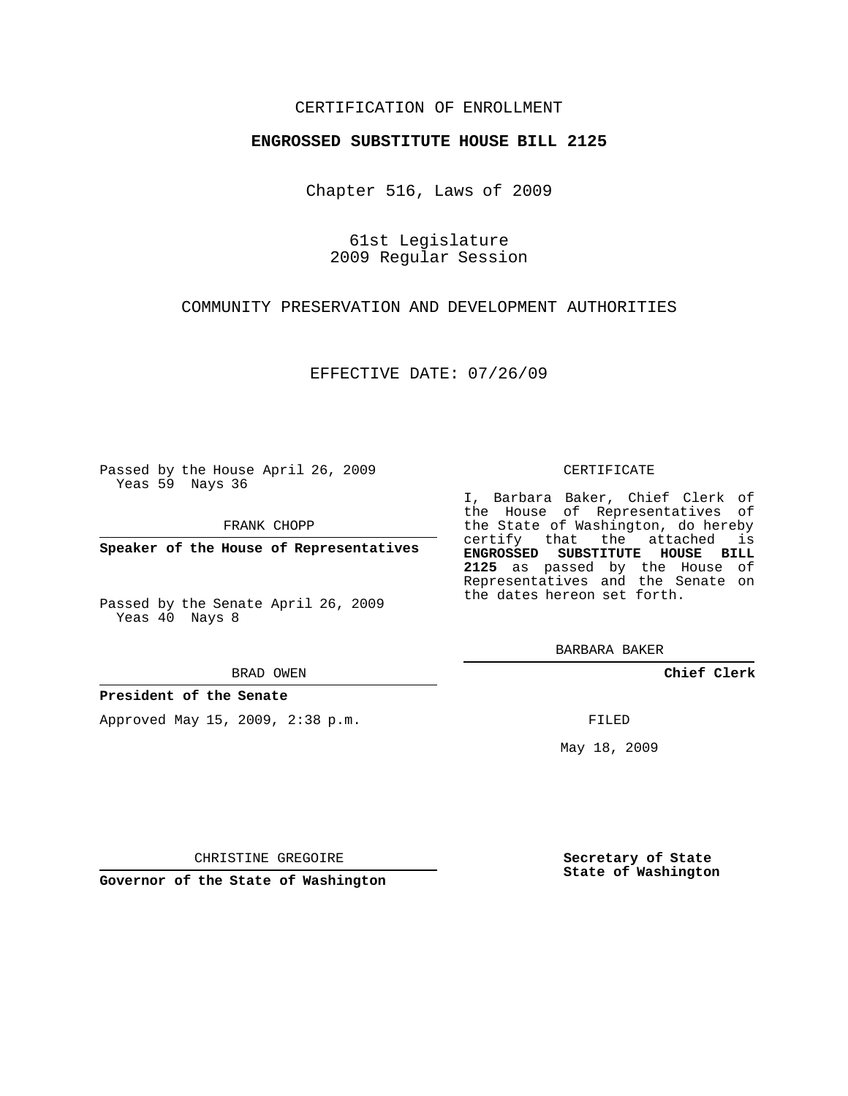## CERTIFICATION OF ENROLLMENT

### **ENGROSSED SUBSTITUTE HOUSE BILL 2125**

Chapter 516, Laws of 2009

61st Legislature 2009 Regular Session

# COMMUNITY PRESERVATION AND DEVELOPMENT AUTHORITIES

EFFECTIVE DATE: 07/26/09

Passed by the House April 26, 2009 Yeas 59 Nays 36

FRANK CHOPP

**Speaker of the House of Representatives**

#### BRAD OWEN

#### **President of the Senate**

Approved May 15, 2009, 2:38 p.m.

#### CERTIFICATE

I, Barbara Baker, Chief Clerk of the House of Representatives of the State of Washington, do hereby certify that the attached is **ENGROSSED SUBSTITUTE HOUSE BILL 2125** as passed by the House of Representatives and the Senate on the dates hereon set forth.

BARBARA BAKER

**Chief Clerk**

FILED

May 18, 2009

**Secretary of State State of Washington**

CHRISTINE GREGOIRE

**Governor of the State of Washington**

Passed by the Senate April 26, 2009 Yeas 40 Nays 8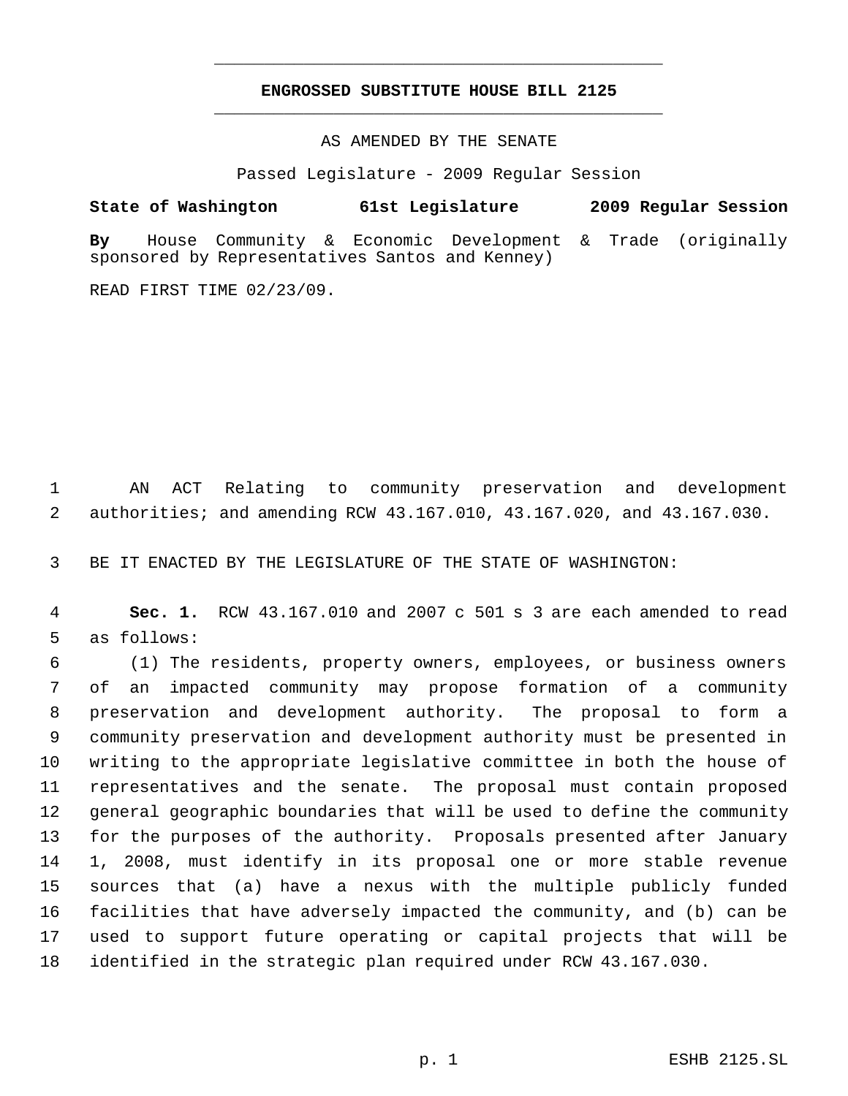# **ENGROSSED SUBSTITUTE HOUSE BILL 2125** \_\_\_\_\_\_\_\_\_\_\_\_\_\_\_\_\_\_\_\_\_\_\_\_\_\_\_\_\_\_\_\_\_\_\_\_\_\_\_\_\_\_\_\_\_

\_\_\_\_\_\_\_\_\_\_\_\_\_\_\_\_\_\_\_\_\_\_\_\_\_\_\_\_\_\_\_\_\_\_\_\_\_\_\_\_\_\_\_\_\_

AS AMENDED BY THE SENATE

Passed Legislature - 2009 Regular Session

**State of Washington 61st Legislature 2009 Regular Session By** House Community & Economic Development & Trade (originally sponsored by Representatives Santos and Kenney)

READ FIRST TIME 02/23/09.

 AN ACT Relating to community preservation and development authorities; and amending RCW 43.167.010, 43.167.020, and 43.167.030.

BE IT ENACTED BY THE LEGISLATURE OF THE STATE OF WASHINGTON:

 **Sec. 1.** RCW 43.167.010 and 2007 c 501 s 3 are each amended to read as follows:

 (1) The residents, property owners, employees, or business owners of an impacted community may propose formation of a community preservation and development authority. The proposal to form a community preservation and development authority must be presented in writing to the appropriate legislative committee in both the house of representatives and the senate. The proposal must contain proposed general geographic boundaries that will be used to define the community for the purposes of the authority. Proposals presented after January 1, 2008, must identify in its proposal one or more stable revenue sources that (a) have a nexus with the multiple publicly funded facilities that have adversely impacted the community, and (b) can be used to support future operating or capital projects that will be identified in the strategic plan required under RCW 43.167.030.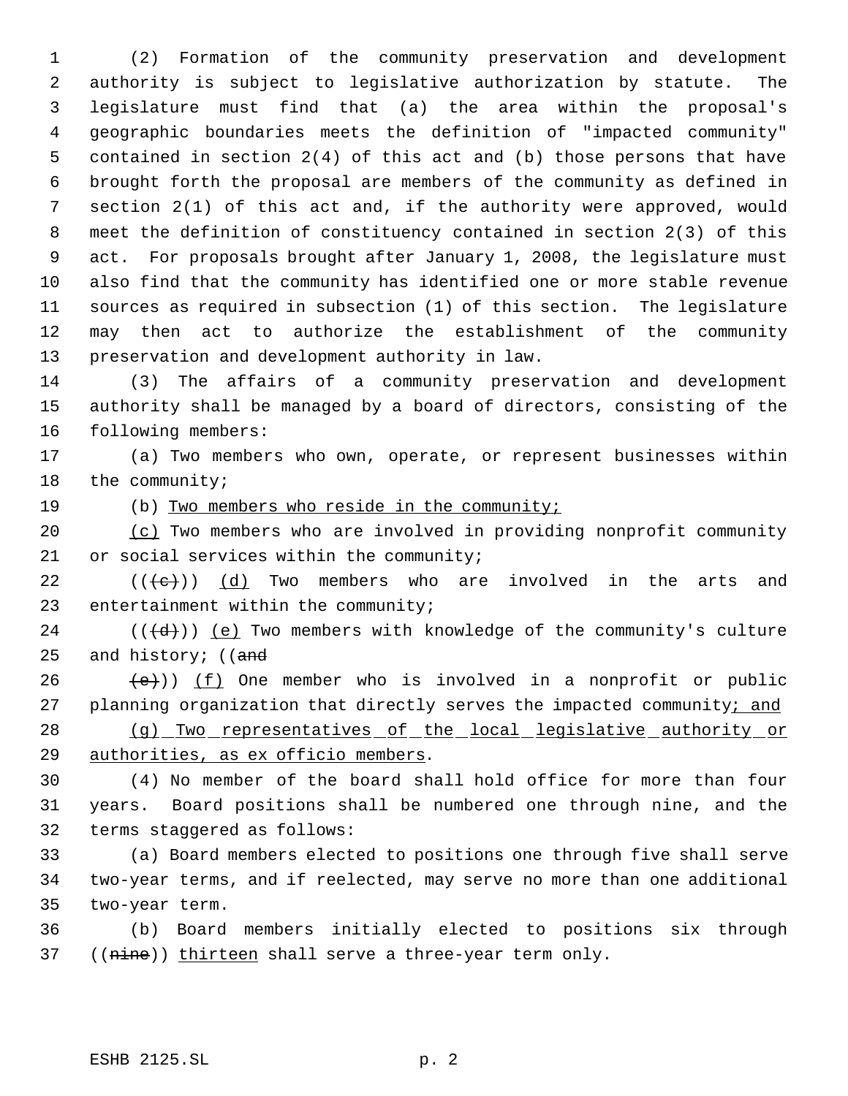(2) Formation of the community preservation and development authority is subject to legislative authorization by statute. The legislature must find that (a) the area within the proposal's geographic boundaries meets the definition of "impacted community" contained in section 2(4) of this act and (b) those persons that have brought forth the proposal are members of the community as defined in section 2(1) of this act and, if the authority were approved, would meet the definition of constituency contained in section 2(3) of this act. For proposals brought after January 1, 2008, the legislature must also find that the community has identified one or more stable revenue sources as required in subsection (1) of this section. The legislature may then act to authorize the establishment of the community preservation and development authority in law.

 (3) The affairs of a community preservation and development authority shall be managed by a board of directors, consisting of the following members:

 (a) Two members who own, operate, or represent businesses within the community;

(b) Two members who reside in the community;

 (c) Two members who are involved in providing nonprofit community or social services within the community;

22  $((\{e\})$  (d) Two members who are involved in the arts and entertainment within the community;

24  $((\{d\})$  (e) Two members with knowledge of the community's culture 25 and history; ((and

 $(26 \leftarrow \{e\})$ ) (f) One member who is involved in a nonprofit or public 27 planning organization that directly serves the impacted community; and 28 (g) Two representatives of the local legislative authority or

authorities, as ex officio members.

 (4) No member of the board shall hold office for more than four years. Board positions shall be numbered one through nine, and the terms staggered as follows:

 (a) Board members elected to positions one through five shall serve two-year terms, and if reelected, may serve no more than one additional two-year term.

 (b) Board members initially elected to positions six through 37 ((nine)) thirteen shall serve a three-year term only.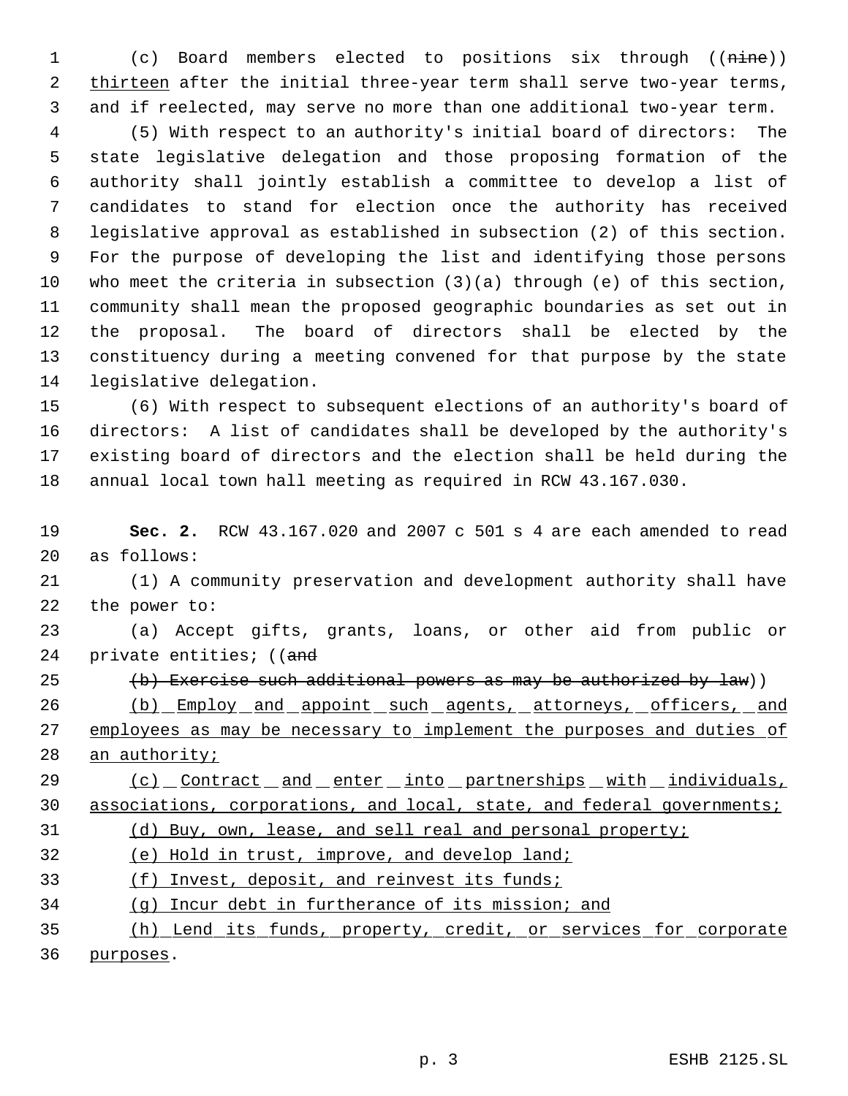(c) Board members elected to positions six through ((nine)) 2 thirteen after the initial three-year term shall serve two-year terms, and if reelected, may serve no more than one additional two-year term.

 (5) With respect to an authority's initial board of directors: The state legislative delegation and those proposing formation of the authority shall jointly establish a committee to develop a list of candidates to stand for election once the authority has received legislative approval as established in subsection (2) of this section. For the purpose of developing the list and identifying those persons who meet the criteria in subsection (3)(a) through (e) of this section, community shall mean the proposed geographic boundaries as set out in the proposal. The board of directors shall be elected by the constituency during a meeting convened for that purpose by the state legislative delegation.

 (6) With respect to subsequent elections of an authority's board of directors: A list of candidates shall be developed by the authority's existing board of directors and the election shall be held during the annual local town hall meeting as required in RCW 43.167.030.

 **Sec. 2.** RCW 43.167.020 and 2007 c 501 s 4 are each amended to read as follows:

 (1) A community preservation and development authority shall have the power to:

 (a) Accept gifts, grants, loans, or other aid from public or 24 private entities; ((and

25  $(b)$  Exercise such additional powers as may be authorized by law))

 (b) Employ and appoint such agents, attorneys, officers, and 27 employees as may be necessary to implement the purposes and duties of 28 an authority;

29 (c) Contract and enter into partnerships with individuals, 30 associations, corporations, and local, state, and federal governments;

(d) Buy, own, lease, and sell real and personal property;

(e) Hold in trust, improve, and develop land;

(f) Invest, deposit, and reinvest its funds;

(g) Incur debt in furtherance of its mission; and

 (h) Lend its funds, property, credit, or services for corporate purposes.

p. 3 ESHB 2125.SL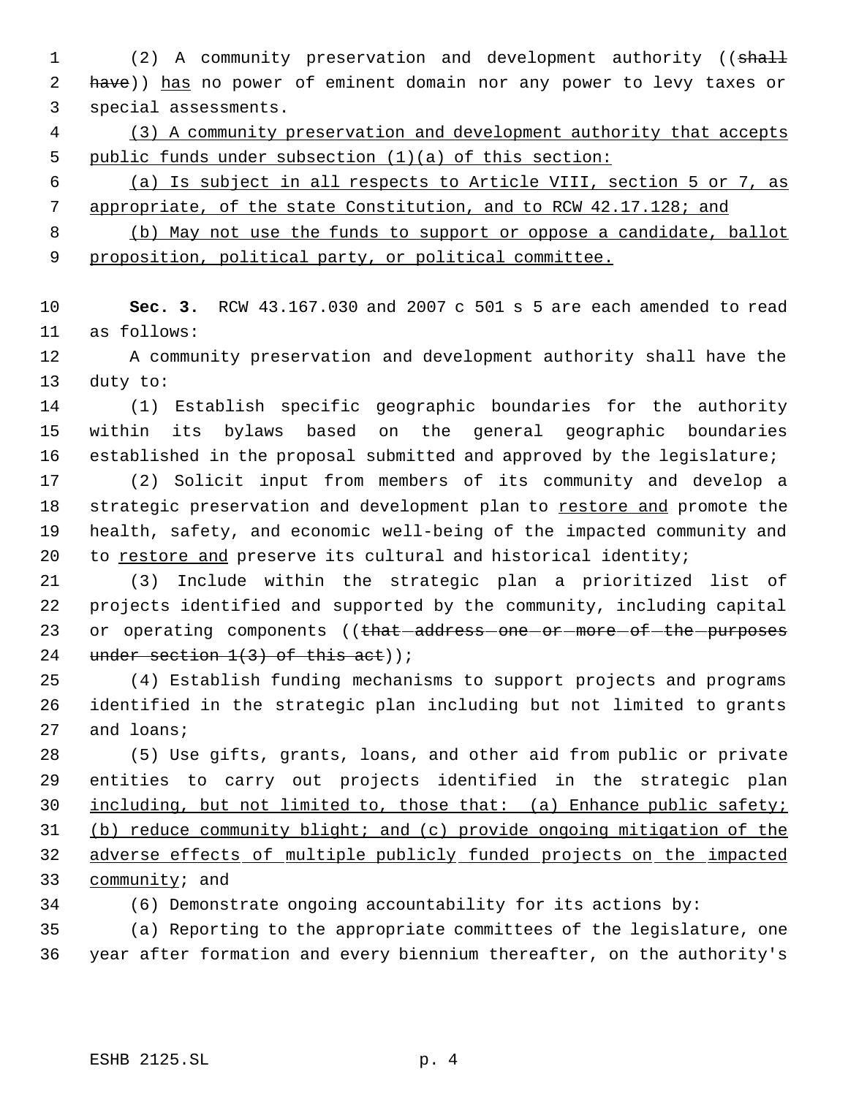1 (2) A community preservation and development authority ((shall 2 have)) has no power of eminent domain nor any power to levy taxes or special assessments.

 (3) A community preservation and development authority that accepts public funds under subsection (1)(a) of this section:

 (a) Is subject in all respects to Article VIII, section 5 or 7, as appropriate, of the state Constitution, and to RCW 42.17.128; and

 (b) May not use the funds to support or oppose a candidate, ballot proposition, political party, or political committee.

 **Sec. 3.** RCW 43.167.030 and 2007 c 501 s 5 are each amended to read as follows:

 A community preservation and development authority shall have the duty to:

 (1) Establish specific geographic boundaries for the authority within its bylaws based on the general geographic boundaries established in the proposal submitted and approved by the legislature;

 (2) Solicit input from members of its community and develop a 18 strategic preservation and development plan to restore and promote the health, safety, and economic well-being of the impacted community and to restore and preserve its cultural and historical identity;

 (3) Include within the strategic plan a prioritized list of projects identified and supported by the community, including capital 23 or operating components ((that-address-one-or-more-of-the-purposes 24 under section  $1(3)$  of this act));

 (4) Establish funding mechanisms to support projects and programs identified in the strategic plan including but not limited to grants and loans;

 (5) Use gifts, grants, loans, and other aid from public or private entities to carry out projects identified in the strategic plan including, but not limited to, those that: (a) Enhance public safety; (b) reduce community blight; and (c) provide ongoing mitigation of the adverse effects of multiple publicly funded projects on the impacted 33 community; and

(6) Demonstrate ongoing accountability for its actions by:

 (a) Reporting to the appropriate committees of the legislature, one year after formation and every biennium thereafter, on the authority's